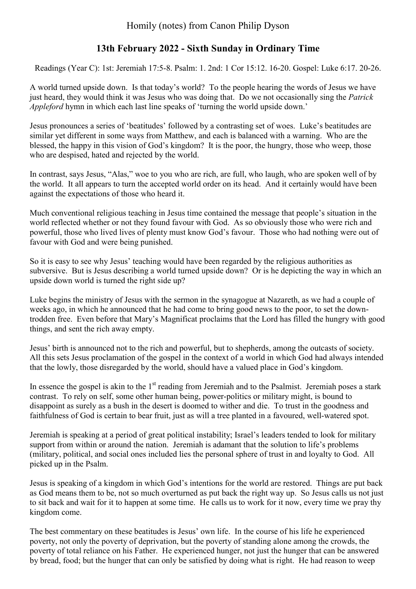Homily (notes) from Canon Philip Dyson

## **13th February 2022 - Sixth Sunday in Ordinary Time**

Readings (Year C): 1st: Jeremiah 17:5-8. Psalm: 1. 2nd: 1 Cor 15:12. 16-20. Gospel: Luke 6:17. 20-26.

A world turned upside down. Is that today's world? To the people hearing the words of Jesus we have just heard, they would think it was Jesus who was doing that. Do we not occasionally sing the *Patrick Appleford* hymn in which each last line speaks of 'turning the world upside down.'

Jesus pronounces a series of 'beatitudes' followed by a contrasting set of woes. Luke's beatitudes are similar yet different in some ways from Matthew, and each is balanced with a warning. Who are the blessed, the happy in this vision of God's kingdom? It is the poor, the hungry, those who weep, those who are despised, hated and rejected by the world.

In contrast, says Jesus, "Alas," woe to you who are rich, are full, who laugh, who are spoken well of by the world. It all appears to turn the accepted world order on its head. And it certainly would have been against the expectations of those who heard it.

Much conventional religious teaching in Jesus time contained the message that people's situation in the world reflected whether or not they found favour with God. As so obviously those who were rich and powerful, those who lived lives of plenty must know God's favour. Those who had nothing were out of favour with God and were being punished.

So it is easy to see why Jesus' teaching would have been regarded by the religious authorities as subversive. But is Jesus describing a world turned upside down? Or is he depicting the way in which an upside down world is turned the right side up?

Luke begins the ministry of Jesus with the sermon in the synagogue at Nazareth, as we had a couple of weeks ago, in which he announced that he had come to bring good news to the poor, to set the downtrodden free. Even before that Mary's Magnificat proclaims that the Lord has filled the hungry with good things, and sent the rich away empty.

Jesus' birth is announced not to the rich and powerful, but to shepherds, among the outcasts of society. All this sets Jesus proclamation of the gospel in the context of a world in which God had always intended that the lowly, those disregarded by the world, should have a valued place in God's kingdom.

In essence the gospel is akin to the  $1<sup>st</sup>$  reading from Jeremiah and to the Psalmist. Jeremiah poses a stark contrast. To rely on self, some other human being, power-politics or military might, is bound to disappoint as surely as a bush in the desert is doomed to wither and die. To trust in the goodness and faithfulness of God is certain to bear fruit, just as will a tree planted in a favoured, well-watered spot.

Jeremiah is speaking at a period of great political instability; Israel's leaders tended to look for military support from within or around the nation. Jeremiah is adamant that the solution to life's problems (military, political, and social ones included lies the personal sphere of trust in and loyalty to God. All picked up in the Psalm.

Jesus is speaking of a kingdom in which God's intentions for the world are restored. Things are put back as God means them to be, not so much overturned as put back the right way up. So Jesus calls us not just to sit back and wait for it to happen at some time. He calls us to work for it now, every time we pray thy kingdom come.

The best commentary on these beatitudes is Jesus' own life. In the course of his life he experienced poverty, not only the poverty of deprivation, but the poverty of standing alone among the crowds, the poverty of total reliance on his Father. He experienced hunger, not just the hunger that can be answered by bread, food; but the hunger that can only be satisfied by doing what is right. He had reason to weep